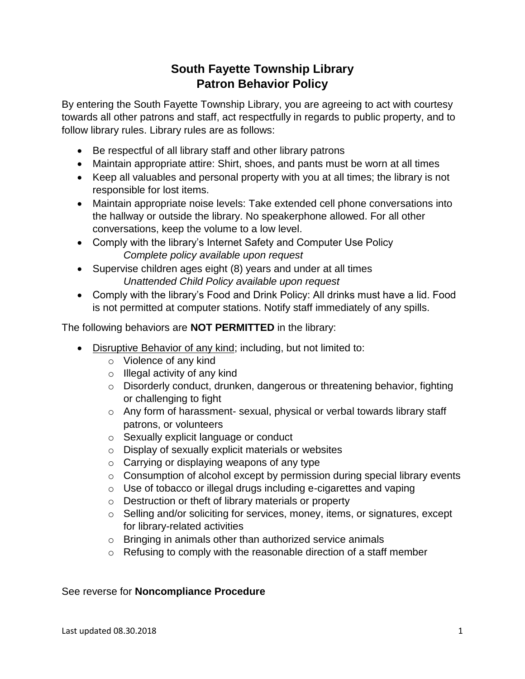## **South Fayette Township Library Patron Behavior Policy**

By entering the South Fayette Township Library, you are agreeing to act with courtesy towards all other patrons and staff, act respectfully in regards to public property, and to follow library rules. Library rules are as follows:

- Be respectful of all library staff and other library patrons
- Maintain appropriate attire: Shirt, shoes, and pants must be worn at all times
- Keep all valuables and personal property with you at all times; the library is not responsible for lost items.
- Maintain appropriate noise levels: Take extended cell phone conversations into the hallway or outside the library. No speakerphone allowed. For all other conversations, keep the volume to a low level.
- Comply with the library's Internet Safety and Computer Use Policy *Complete policy available upon request*
- Supervise children ages eight (8) years and under at all times *Unattended Child Policy available upon request*
- Comply with the library's Food and Drink Policy: All drinks must have a lid. Food is not permitted at computer stations. Notify staff immediately of any spills.

The following behaviors are **NOT PERMITTED** in the library:

- Disruptive Behavior of any kind; including, but not limited to:
	- o Violence of any kind
	- o Illegal activity of any kind
	- o Disorderly conduct, drunken, dangerous or threatening behavior, fighting or challenging to fight
	- o Any form of harassment- sexual, physical or verbal towards library staff patrons, or volunteers
	- o Sexually explicit language or conduct
	- o Display of sexually explicit materials or websites
	- $\circ$  Carrying or displaying weapons of any type
	- o Consumption of alcohol except by permission during special library events
	- o Use of tobacco or illegal drugs including e-cigarettes and vaping
	- o Destruction or theft of library materials or property
	- o Selling and/or soliciting for services, money, items, or signatures, except for library-related activities
	- o Bringing in animals other than authorized service animals
	- o Refusing to comply with the reasonable direction of a staff member

## See reverse for **Noncompliance Procedure**